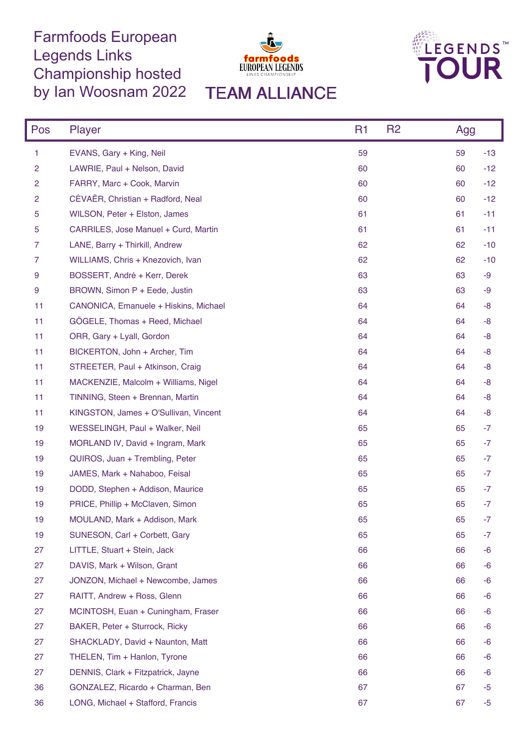## Farmfoods European Legends Links Championship hosted by Ian Woosnam 2022 TEAM ALLIANCE





| Pos            | <b>Player</b>                         | R <sub>1</sub> | R <sub>2</sub> | Agg |       |
|----------------|---------------------------------------|----------------|----------------|-----|-------|
| 1              | EVANS, Gary + King, Neil              | 59             |                | 59  | $-13$ |
| $\overline{c}$ | LAWRIE, Paul + Nelson, David          | 60             |                | 60  | $-12$ |
| 2              | FARRY, Marc + Cook, Marvin            | 60             |                | 60  | $-12$ |
| 2              | CÉVAËR, Christian + Radford, Neal     | 60             |                | 60  | $-12$ |
| 5              | WILSON, Peter + Elston, James         | 61             |                | 61  | $-11$ |
| 5              | CARRILES, Jose Manuel + Curd, Martin  | 61             |                | 61  | $-11$ |
| 7              | LANE, Barry + Thirkill, Andrew        | 62             |                | 62  | $-10$ |
| 7              | WILLIAMS, Chris + Knezovich, Ivan     | 62             |                | 62  | $-10$ |
| 9              | BOSSERT, André + Kerr, Derek          | 63             |                | 63  | -9    |
| 9              | BROWN, Simon P + Eede, Justin         | 63             |                | 63  | -9    |
| 11             | CANONICA, Emanuele + Hiskins, Michael | 64             |                | 64  | -8    |
| 11             | GÖGELE, Thomas + Reed, Michael        | 64             |                | 64  | -8    |
| 11             | ORR, Gary + Lyall, Gordon             | 64             |                | 64  | -8    |
| 11             | BICKERTON, John + Archer, Tim         | 64             |                | 64  | -8    |
| 11             | STREETER, Paul + Atkinson, Craig      | 64             |                | 64  | -8    |
| 11             | MACKENZIE, Malcolm + Williams, Nigel  | 64             |                | 64  | -8    |
| 11             | TINNING, Steen + Brennan, Martin      | 64             |                | 64  | -8    |
| 11             | KINGSTON, James + O'Sullivan, Vincent | 64             |                | 64  | -8    |
| 19             | WESSELINGH, Paul + Walker, Neil       | 65             |                | 65  | $-7$  |
| 19             | MORLAND IV, David + Ingram, Mark      | 65             |                | 65  | -7    |
| 19             | QUIROS, Juan + Trembling, Peter       | 65             |                | 65  | $-7$  |
| 19             | JAMES, Mark + Nahaboo, Feisal         | 65             |                | 65  | -7    |
| 19             | DODD, Stephen + Addison, Maurice      | 65             |                | 65  | -7    |
| 19             | PRICE, Phillip + McClaven, Simon      | 65             |                | 65  | $-7$  |
| 19             | MOULAND, Mark + Addison, Mark         | 65             |                | 65  | $-7$  |
| 19             | SUNESON, Carl + Corbett, Gary         | 65             |                | 65  | -7    |
| 27             | LITTLE, Stuart + Stein, Jack          | 66             |                | 66  | -6    |
| 27             | DAVIS, Mark + Wilson, Grant           | 66             |                | 66  | -6    |
| 27             | JONZON, Michael + Newcombe, James     | 66             |                | 66  | -6    |
| 27             | RAITT, Andrew + Ross, Glenn           | 66             |                | 66  | -6    |
| 27             | MCINTOSH, Euan + Cuningham, Fraser    | 66             |                | 66  | -6    |
| 27             | BAKER, Peter + Sturrock, Ricky        | 66             |                | 66  | -6    |
| 27             | SHACKLADY, David + Naunton, Matt      | 66             |                | 66  | -6    |
| 27             | THELEN, Tim + Hanlon, Tyrone          | 66             |                | 66  | -6    |
| 27             | DENNIS, Clark + Fitzpatrick, Jayne    | 66             |                | 66  | -6    |
| 36             | GONZALEZ, Ricardo + Charman, Ben      | 67             |                | 67  | -5    |
| 36             | LONG, Michael + Stafford, Francis     | 67             |                | 67  | $-5$  |